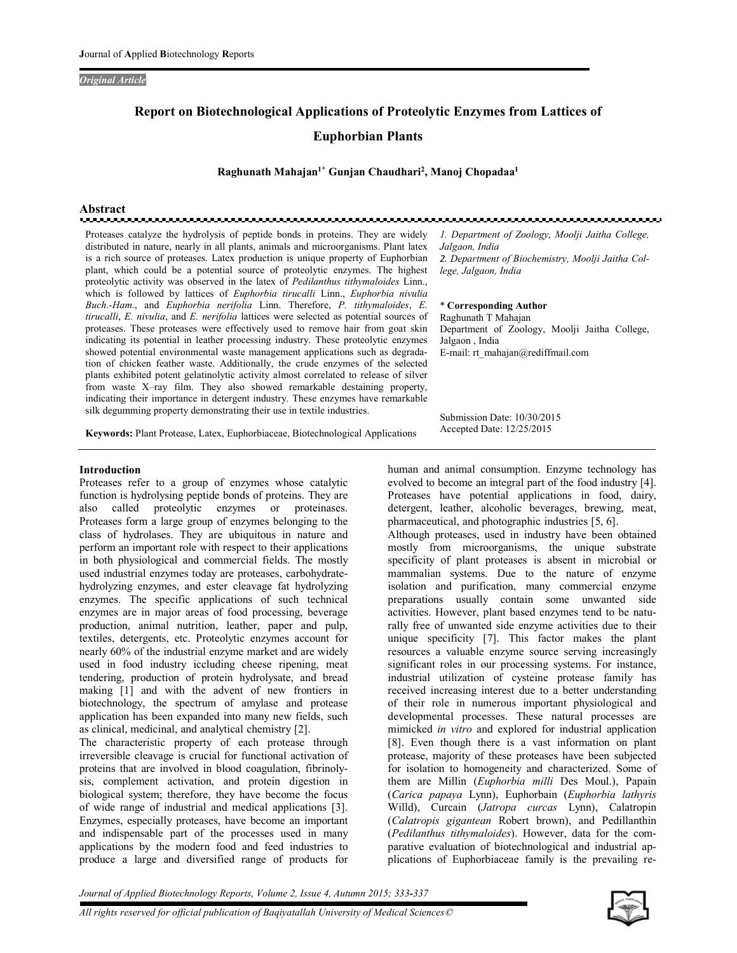#### *Original Article*

# **Report on Biotechnological Applications of Proteolytic Enzymes from Lattices of**

## **Euphorbian Plants**

#### **Raghunath Mahajan1\* Gunjan Chaudhari<sup>2</sup> , Manoj Chopadaa<sup>1</sup>**

# **Abstract**

Proteases catalyze the hydrolysis of peptide bonds in proteins. They are widely distributed in nature, nearly in all plants, animals and microorganisms. Plant latex is a rich source of proteases. Latex production is unique property of Euphorbian plant, which could be a potential source of proteolytic enzymes. The highest proteolytic activity was observed in the latex of *Pedilanthus tithymaloides* Linn., which is followed by lattices of *Euphorbia tirucalli* Linn., *Euphorbia nivulia Buch.-Ham*., and *Euphorbia nerifolia* Linn. Therefore, *P. tithymaloides*, *E. tirucalli*, *E. nivulia*, and *E. nerifolia* lattices were selected as potential sources of proteases. These proteases were effectively used to remove hair from goat skin indicating its potential in leather processing industry. These proteolytic enzymes showed potential environmental waste management applications such as degradation of chicken feather waste. Additionally, the crude enzymes of the selected plants exhibited potent gelatinolytic activity almost correlated to release of silver from waste X–ray film. They also showed remarkable destaining property, indicating their importance in detergent industry. These enzymes have remarkable silk degumming property demonstrating their use in textile industries.

*1. Department of Zoology, Moolji Jaitha College, Jalgaon, India 2. Department of Biochemistry, Moolji Jaitha College, Jalgaon, India*

\* **Corresponding Author**  Raghunath T Mahajan Department of Zoology, Moolji Jaitha College, Jalgaon , India E-mail: rt\_mahajan@rediffmail.com

**Keywords:** Plant Protease, Latex, Euphorbiaceae, Biotechnological Applications

#### **Introduction**

Proteases refer to a group of enzymes whose catalytic function is hydrolysing peptide bonds of proteins. They are also called proteolytic enzymes or proteinases. Proteases form a large group of enzymes belonging to the class of hydrolases. They are ubiquitous in nature and perform an important role with respect to their applications in both physiological and commercial fields. The mostly used industrial enzymes today are proteases, carbohydratehydrolyzing enzymes, and ester cleavage fat hydrolyzing enzymes. The specific applications of such technical enzymes are in major areas of food processing, beverage production, animal nutrition, leather, paper and pulp, textiles, detergents, etc. Proteolytic enzymes account for nearly 60% of the industrial enzyme market and are widely used in food industry iccluding cheese ripening, meat tendering, production of protein hydrolysate, and bread making [1] and with the advent of new frontiers in biotechnology, the spectrum of amylase and protease application has been expanded into many new fields, such as clinical, medicinal, and analytical chemistry [2].

The characteristic property of each protease through irreversible cleavage is crucial for functional activation of proteins that are involved in blood coagulation, fibrinolysis, complement activation, and protein digestion in biological system; therefore, they have become the focus of wide range of industrial and medical applications [3]. Enzymes, especially proteases, have become an important and indispensable part of the processes used in many applications by the modern food and feed industries to produce a large and diversified range of products for

Submission Date: 10/30/2015 Accepted Date: 12/25/2015

human and animal consumption. Enzyme technology has evolved to become an integral part of the food industry [4]. Proteases have potential applications in food, dairy, detergent, leather, alcoholic beverages, brewing, meat, pharmaceutical, and photographic industries [5, 6].

Although proteases, used in industry have been obtained mostly from microorganisms, the unique substrate specificity of plant proteases is absent in microbial or mammalian systems. Due to the nature of enzyme isolation and purification, many commercial enzyme preparations usually contain some unwanted side activities. However, plant based enzymes tend to be naturally free of unwanted side enzyme activities due to their unique specificity [7]. This factor makes the plant resources a valuable enzyme source serving increasingly significant roles in our processing systems. For instance, industrial utilization of cysteine protease family has received increasing interest due to a better understanding of their role in numerous important physiological and developmental processes. These natural processes are mimicked *in vitro* and explored for industrial application [8]. Even though there is a vast information on plant protease, majority of these proteases have been subjected for isolation to homogeneity and characterized. Some of them are Millin (*Euphorbia milli* Des Moul.), Papain (*Carica papaya* Lynn), Euphorbain (*Euphorbia lathyris* Willd), Curcain (*Jatropa curcas* Lynn), Calatropin (*Calatropis gigantean* Robert brown), and Pedillanthin (*Pedilanthus tithymaloides*). However, data for the comparative evaluation of biotechnological and industrial applications of Euphorbiaceae family is the prevailing re-

*Journal of Applied Biotechnology Reports, Volume 2, Issue 4, Autumn 2015; 333-337*

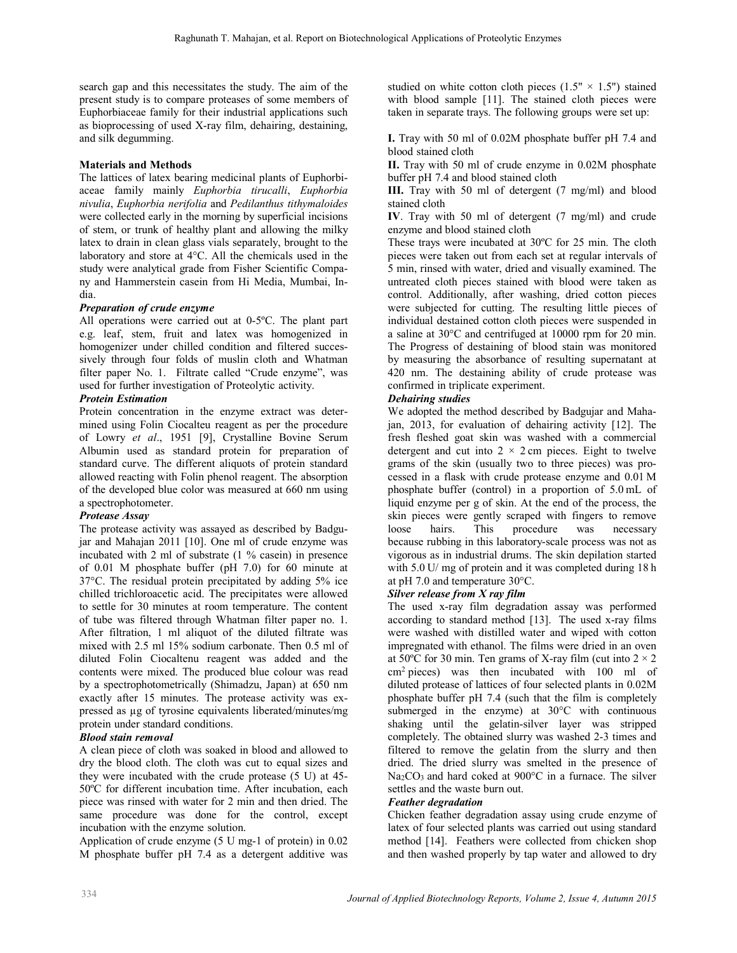search gap and this necessitates the study. The aim of the present study is to compare proteases of some members of Euphorbiaceae family for their industrial applications such as bioprocessing of used X-ray film, dehairing, destaining, and silk degumming.

# **Materials and Methods**

The lattices of latex bearing medicinal plants of Euphorbiaceae family mainly *Euphorbia tirucalli*, *Euphorbia nivulia*, *Euphorbia nerifolia* and *Pedilanthus tithymaloides* were collected early in the morning by superficial incisions of stem, or trunk of healthy plant and allowing the milky latex to drain in clean glass vials separately, brought to the laboratory and store at 4°C. All the chemicals used in the study were analytical grade from Fisher Scientific Company and Hammerstein casein from Hi Media, Mumbai, India.

# *Preparation of crude enzyme*

All operations were carried out at 0-5ºC. The plant part e.g. leaf, stem, fruit and latex was homogenized in homogenizer under chilled condition and filtered successively through four folds of muslin cloth and Whatman filter paper No. 1. Filtrate called "Crude enzyme", was used for further investigation of Proteolytic activity.

## *Protein Estimation*

Protein concentration in the enzyme extract was determined using Folin Ciocalteu reagent as per the procedure of Lowry *et al*., 1951 [9], Crystalline Bovine Serum Albumin used as standard protein for preparation of standard curve. The different aliquots of protein standard allowed reacting with Folin phenol reagent. The absorption of the developed blue color was measured at 660 nm using a spectrophotometer.

## *Protease Assay*

The protease activity was assayed as described by Badgujar and Mahajan 2011 [10]. One ml of crude enzyme was incubated with 2 ml of substrate (1 % casein) in presence of 0.01 M phosphate buffer (pH 7.0) for 60 minute at 37°C. The residual protein precipitated by adding 5% ice chilled trichloroacetic acid. The precipitates were allowed to settle for 30 minutes at room temperature. The content of tube was filtered through Whatman filter paper no. 1. After filtration, 1 ml aliquot of the diluted filtrate was mixed with 2.5 ml 15% sodium carbonate. Then 0.5 ml of diluted Folin Ciocaltenu reagent was added and the contents were mixed. The produced blue colour was read by a spectrophotometrically (Shimadzu, Japan) at 650 nm exactly after 15 minutes. The protease activity was expressed as µg of tyrosine equivalents liberated/minutes/mg protein under standard conditions.

## *Blood stain removal*

A clean piece of cloth was soaked in blood and allowed to dry the blood cloth. The cloth was cut to equal sizes and they were incubated with the crude protease (5 U) at 45- 50ºC for different incubation time. After incubation, each piece was rinsed with water for 2 min and then dried. The same procedure was done for the control, except incubation with the enzyme solution.

Application of crude enzyme (5 U mg-1 of protein) in 0.02 M phosphate buffer pH 7.4 as a detergent additive was studied on white cotton cloth pieces  $(1.5" \times 1.5")$  stained with blood sample [11]. The stained cloth pieces were taken in separate trays. The following groups were set up:

**I.** Tray with 50 ml of 0.02M phosphate buffer pH 7.4 and blood stained cloth

**II.** Tray with 50 ml of crude enzyme in 0.02M phosphate buffer pH 7.4 and blood stained cloth

**III.** Tray with 50 ml of detergent (7 mg/ml) and blood stained cloth

**IV**. Tray with 50 ml of detergent (7 mg/ml) and crude enzyme and blood stained cloth

These trays were incubated at 30ºC for 25 min. The cloth pieces were taken out from each set at regular intervals of 5 min, rinsed with water, dried and visually examined. The untreated cloth pieces stained with blood were taken as control. Additionally, after washing, dried cotton pieces were subjected for cutting. The resulting little pieces of individual destained cotton cloth pieces were suspended in a saline at 30°C and centrifuged at 10000 rpm for 20 min. The Progress of destaining of blood stain was monitored by measuring the absorbance of resulting supernatant at 420 nm. The destaining ability of crude protease was confirmed in triplicate experiment.

# *Dehairing studies*

We adopted the method described by Badgujar and Mahajan, 2013, for evaluation of dehairing activity [12]. The fresh fleshed goat skin was washed with a commercial detergent and cut into  $2 \times 2$  cm pieces. Eight to twelve grams of the skin (usually two to three pieces) was processed in a flask with crude protease enzyme and 0.01 M phosphate buffer (control) in a proportion of 5.0 mL of liquid enzyme per g of skin. At the end of the process, the skin pieces were gently scraped with fingers to remove<br>loose hairs. This procedure was necessary procedure was necessary because rubbing in this laboratory-scale process was not as vigorous as in industrial drums. The skin depilation started with 5.0 U/ mg of protein and it was completed during 18 h at pH 7.0 and temperature 30°C.

## *Silver release from X ray film*

The used x-ray film degradation assay was performed according to standard method [13]. The used x-ray films were washed with distilled water and wiped with cotton impregnated with ethanol. The films were dried in an oven at 50°C for 30 min. Ten grams of X-ray film (cut into  $2 \times 2$ ) cm<sup>2</sup> pieces) was then incubated with 100 ml of diluted protease of lattices of four selected plants in 0.02M phosphate buffer pH 7.4 (such that the film is completely submerged in the enzyme) at 30°C with continuous shaking until the gelatin-silver layer was stripped completely. The obtained slurry was washed 2-3 times and filtered to remove the gelatin from the slurry and then dried. The dried slurry was smelted in the presence of Na<sub>2</sub>CO<sub>3</sub> and hard coked at 900°C in a furnace. The silver settles and the waste burn out.

## *Feather degradation*

Chicken feather degradation assay using crude enzyme of latex of four selected plants was carried out using standard method [14]. Feathers were collected from chicken shop and then washed properly by tap water and allowed to dry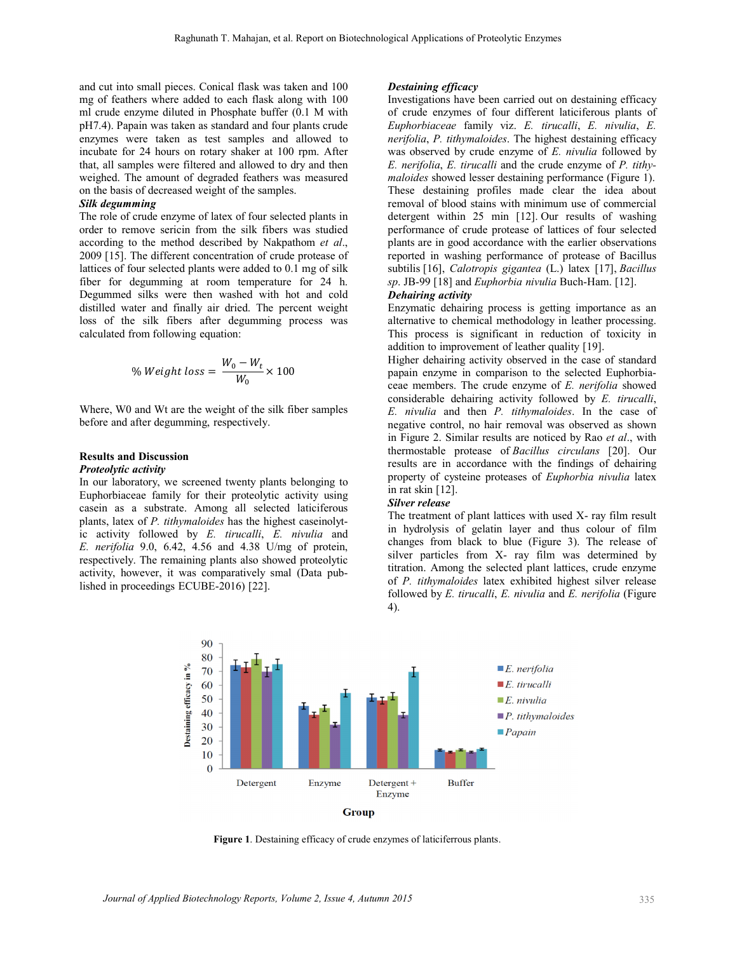and cut into small pieces. Conical flask was taken and 100 mg of feathers where added to each flask along with 100 ml crude enzyme diluted in Phosphate buffer (0.1 M with pH7.4). Papain was taken as standard and four plants crude enzymes were taken as test samples and allowed to incubate for 24 hours on rotary shaker at 100 rpm. After that, all samples were filtered and allowed to dry and then weighed. The amount of degraded feathers was measured on the basis of decreased weight of the samples.

#### *Silk degumming*

The role of crude enzyme of latex of four selected plants in order to remove sericin from the silk fibers was studied according to the method described by Nakpathom *et al*., 2009 [15]. The different concentration of crude protease of lattices of four selected plants were added to 0.1 mg of silk fiber for degumming at room temperature for 24 h. Degummed silks were then washed with hot and cold distilled water and finally air dried. The percent weight loss of the silk fibers after degumming process was calculated from following equation:

% Weight loss = 
$$
\frac{W_0 - W_t}{W_0} \times 100
$$

Where, W0 and Wt are the weight of the silk fiber samples before and after degumming, respectively.

# **Results and Discussion**

# *Proteolytic activity*

In our laboratory, we screened twenty plants belonging to Euphorbiaceae family for their proteolytic activity using casein as a substrate. Among all selected laticiferous plants, latex of *P. tithymaloides* has the highest caseinolytic activity followed by *E. tirucalli*, *E. nivulia* and *E. nerifolia* 9.0, 6.42, 4.56 and 4.38 U/mg of protein, respectively. The remaining plants also showed proteolytic activity, however, it was comparatively smal (Data published in proceedings ECUBE-2016) [22].

#### *Destaining efficacy*

Investigations have been carried out on destaining efficacy of crude enzymes of four different laticiferous plants of *Euphorbiaceae* family viz. *E. tirucalli*, *E. nivulia*, *E. nerifolia*, *P. tithymaloides*. The highest destaining efficacy was observed by crude enzyme of *E. nivulia* followed by *E. nerifolia*, *E. tirucalli* and the crude enzyme of *P. tithymaloides* showed lesser destaining performance (Figure 1). These destaining profiles made clear the idea about removal of blood stains with minimum use of commercial detergent within 25 min [12]. Our results of washing performance of crude protease of lattices of four selected plants are in good accordance with the earlier observations reported in washing performance of protease of Bacillus subtilis [16], *Calotropis gigantea* (L.) latex [17], *Bacillus sp*. JB-99 [18] and *Euphorbia nivulia* Buch-Ham. [12].

#### *Dehairing activity*

Enzymatic dehairing process is getting importance as an alternative to chemical methodology in leather processing. This process is significant in reduction of toxicity in addition to improvement of leather quality [19].

Higher dehairing activity observed in the case of standard papain enzyme in comparison to the selected Euphorbiaceae members. The crude enzyme of *E. nerifolia* showed considerable dehairing activity followed by *E. tirucalli*, *E. nivulia* and then *P. tithymaloides*. In the case of negative control, no hair removal was observed as shown in Figure 2. Similar results are noticed by Rao *et al*., with thermostable protease of *Bacillus circulans* [20]. Our results are in accordance with the findings of dehairing property of cysteine proteases of *Euphorbia nivulia* latex in rat skin [12].

#### *Silver release*

The treatment of plant lattices with used X- ray film result in hydrolysis of gelatin layer and thus colour of film changes from black to blue (Figure 3). The release of silver particles from X- ray film was determined by titration. Among the selected plant lattices, crude enzyme of *P. tithymaloides* latex exhibited highest silver release followed by *E. tirucalli*, *E. nivulia* and *E. nerifolia* (Figure 4).



**Figure 1**. Destaining efficacy of crude enzymes of laticiferrous plants.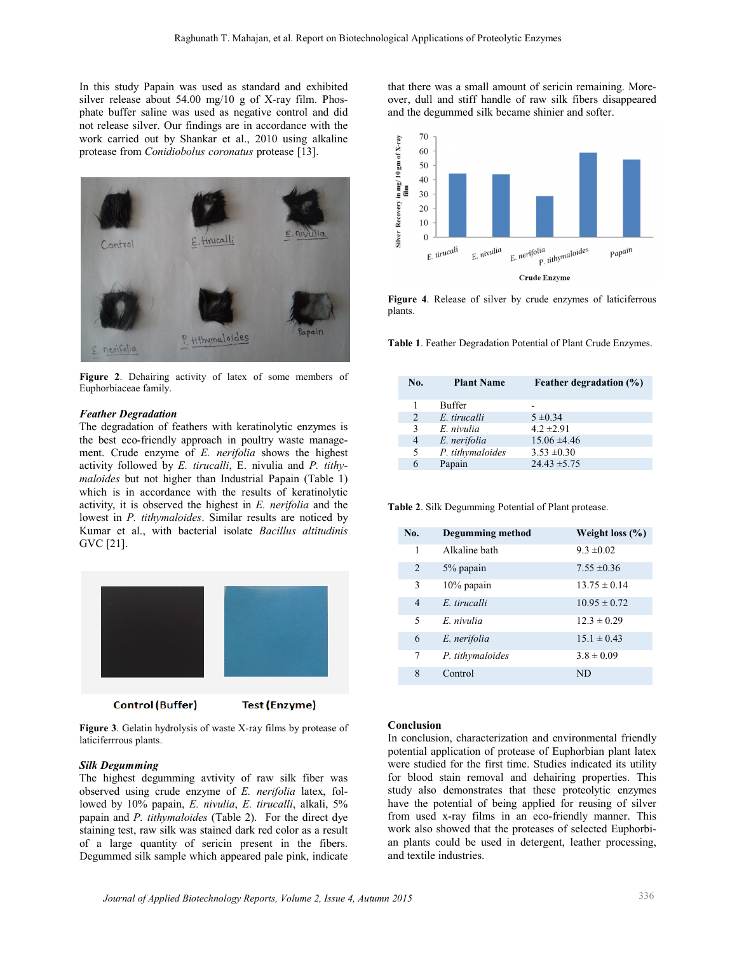In this study Papain was used as standard and exhibited silver release about 54.00 mg/10 g of X-ray film. Phosphate buffer saline was used as negative control and did not release silver. Our findings are in accordance with the work carried out by Shankar et al., 2010 using alkaline protease from *Conidiobolus coronatus* protease [13].



**Figure 2**. Dehairing activity of latex of some members of Euphorbiaceae family.

#### *Feather Degradation*

The degradation of feathers with keratinolytic enzymes is the best eco-friendly approach in poultry waste management. Crude enzyme of *E. nerifolia* shows the highest activity followed by *E. tirucalli*, E. nivulia and *P. tithymaloides* but not higher than Industrial Papain (Table 1) which is in accordance with the results of keratinolytic activity, it is observed the highest in *E. nerifolia* and the lowest in *P. tithymaloides*. Similar results are noticed by Kumar et al., with bacterial isolate *Bacillus altitudinis* GVC [21].



**Test (Enzyme)** 

**Figure 3**. Gelatin hydrolysis of waste X-ray films by protease of laticiferrrous plants.

#### *Silk Degumming*

The highest degumming avtivity of raw silk fiber was observed using crude enzyme of *E. nerifolia* latex, followed by 10% papain, *E. nivulia*, *E. tirucalli*, alkali, 5% papain and *P. tithymaloides* (Table 2). For the direct dye staining test, raw silk was stained dark red color as a result of a large quantity of sericin present in the fibers. Degummed silk sample which appeared pale pink, indicate

that there was a small amount of sericin remaining. Moreover, dull and stiff handle of raw silk fibers disappeared and the degummed silk became shinier and softer.



**Figure 4**. Release of silver by crude enzymes of laticiferrous plants.

**Table 1**. Feather Degradation Potential of Plant Crude Enzymes.

| No.            | <b>Plant Name</b> | <b>Feather degradation (%)</b> |
|----------------|-------------------|--------------------------------|
|                | <b>Buffer</b>     |                                |
| $\mathcal{L}$  | E. tirucalli      | $5 \pm 0.34$                   |
| 3              | E. nivulia        | $42 \pm 291$                   |
| $\overline{4}$ | E. nerifolia      | $15.06 \pm 4.46$               |
| 5              | P. tithymaloides  | $3.53 \pm 0.30$                |
| 6              | Papain            | $24.43 \pm 5.75$               |

**Table 2**. Silk Degumming Potential of Plant protease.

| No.            | <b>Degumming method</b> | Weight loss $(\% )$ |
|----------------|-------------------------|---------------------|
| 1              | Alkaline bath           | $9.3 \pm 0.02$      |
| $\overline{2}$ | 5% papain               | $7.55 \pm 0.36$     |
| 3              | $10\%$ papain           | $13.75 \pm 0.14$    |
| $\overline{4}$ | E tirucalli             | $10.95 \pm 0.72$    |
| 5              | E nivulia               | $12.3 \pm 0.29$     |
| 6              | E. nerifolia            | $15.1 \pm 0.43$     |
| 7              | P. tithymaloides        | $3.8 \pm 0.09$      |
| 8              | Control                 | ND                  |

#### **Conclusion**

In conclusion, characterization and environmental friendly potential application of protease of Euphorbian plant latex were studied for the first time. Studies indicated its utility for blood stain removal and dehairing properties. This study also demonstrates that these proteolytic enzymes have the potential of being applied for reusing of silver from used x-ray films in an eco-friendly manner. This work also showed that the proteases of selected Euphorbian plants could be used in detergent, leather processing, and textile industries.